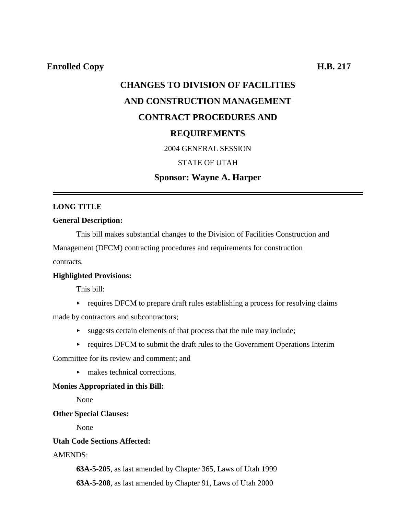# **CHANGES TO DIVISION OF FACILITIES AND CONSTRUCTION MANAGEMENT CONTRACT PROCEDURES AND REQUIREMENTS** 2004 GENERAL SESSION

# STATE OF UTAH

## **Sponsor: Wayne A. Harper**

#### **LONG TITLE**

#### **General Description:**

This bill makes substantial changes to the Division of Facilities Construction and Management (DFCM) contracting procedures and requirements for construction contracts.

#### **Highlighted Provisions:**

This bill:

 $\triangleright$  requires DFCM to prepare draft rules establishing a process for resolving claims

made by contractors and subcontractors;

- $\rightarrow$  suggests certain elements of that process that the rule may include;
- $\rightarrow$  requires DFCM to submit the draft rules to the Government Operations Interim

Committee for its review and comment; and

 $\blacktriangleright$  makes technical corrections.

### **Monies Appropriated in this Bill:**

None

#### **Other Special Clauses:**

None

### **Utah Code Sections Affected:**

### AMENDS:

**63A-5-205**, as last amended by Chapter 365, Laws of Utah 1999

**63A-5-208**, as last amended by Chapter 91, Laws of Utah 2000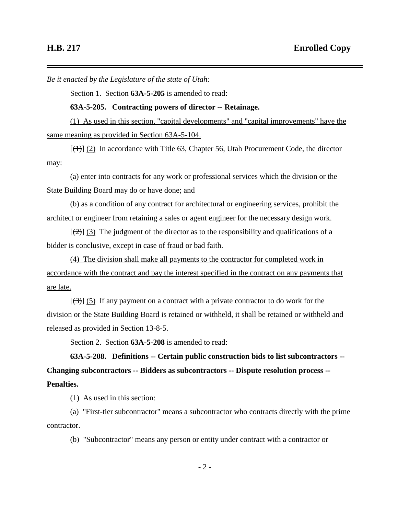*Be it enacted by the Legislature of the state of Utah:*

Section 1. Section **63A-5-205** is amended to read:

**63A-5-205. Contracting powers of director -- Retainage.**

(1) As used in this section, "capital developments" and "capital improvements" have the same meaning as provided in Section 63A-5-104.

 $[\frac{(1)}{(1)}]$  (2) In accordance with Title 63, Chapter 56, Utah Procurement Code, the director may:

(a) enter into contracts for any work or professional services which the division or the State Building Board may do or have done; and

(b) as a condition of any contract for architectural or engineering services, prohibit the architect or engineer from retaining a sales or agent engineer for the necessary design work.

 $[\frac{1}{2}]$  (3) The judgment of the director as to the responsibility and qualifications of a bidder is conclusive, except in case of fraud or bad faith.

(4) The division shall make all payments to the contractor for completed work in accordance with the contract and pay the interest specified in the contract on any payments that are late.

 $[\langle 3\rangle]$  (5) If any payment on a contract with a private contractor to do work for the division or the State Building Board is retained or withheld, it shall be retained or withheld and released as provided in Section 13-8-5.

Section 2. Section **63A-5-208** is amended to read:

**63A-5-208. Definitions -- Certain public construction bids to list subcontractors -- Changing subcontractors -- Bidders as subcontractors -- Dispute resolution process -- Penalties.**

(1) As used in this section:

(a) "First-tier subcontractor" means a subcontractor who contracts directly with the prime contractor.

(b) "Subcontractor" means any person or entity under contract with a contractor or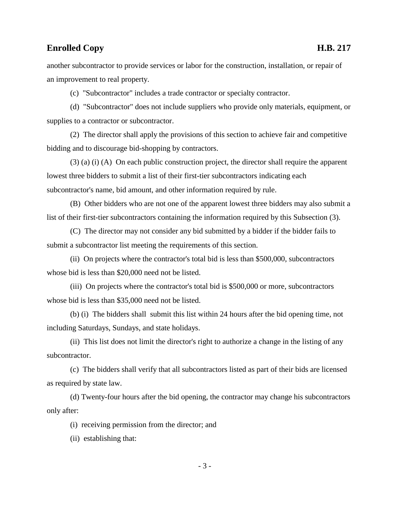another subcontractor to provide services or labor for the construction, installation, or repair of an improvement to real property.

(c) "Subcontractor" includes a trade contractor or specialty contractor.

(d) "Subcontractor" does not include suppliers who provide only materials, equipment, or supplies to a contractor or subcontractor.

(2) The director shall apply the provisions of this section to achieve fair and competitive bidding and to discourage bid-shopping by contractors.

 $(3)$  (a) (i) (A) On each public construction project, the director shall require the apparent lowest three bidders to submit a list of their first-tier subcontractors indicating each subcontractor's name, bid amount, and other information required by rule.

(B) Other bidders who are not one of the apparent lowest three bidders may also submit a list of their first-tier subcontractors containing the information required by this Subsection (3).

(C) The director may not consider any bid submitted by a bidder if the bidder fails to submit a subcontractor list meeting the requirements of this section.

(ii) On projects where the contractor's total bid is less than \$500,000, subcontractors whose bid is less than \$20,000 need not be listed.

(iii) On projects where the contractor's total bid is \$500,000 or more, subcontractors whose bid is less than \$35,000 need not be listed.

(b) (i) The bidders shall submit this list within 24 hours after the bid opening time, not including Saturdays, Sundays, and state holidays.

(ii) This list does not limit the director's right to authorize a change in the listing of any subcontractor.

(c) The bidders shall verify that all subcontractors listed as part of their bids are licensed as required by state law.

(d) Twenty-four hours after the bid opening, the contractor may change his subcontractors only after:

(i) receiving permission from the director; and

(ii) establishing that: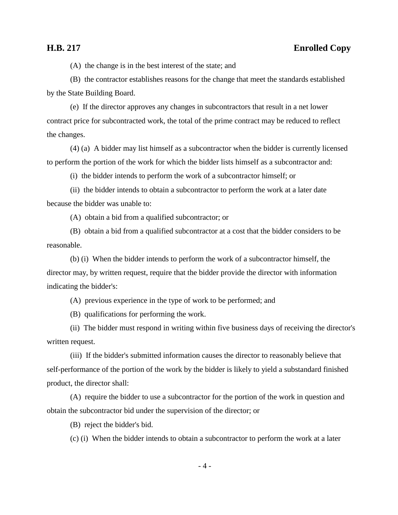(A) the change is in the best interest of the state; and

(B) the contractor establishes reasons for the change that meet the standards established by the State Building Board.

(e) If the director approves any changes in subcontractors that result in a net lower contract price for subcontracted work, the total of the prime contract may be reduced to reflect the changes.

(4) (a) A bidder may list himself as a subcontractor when the bidder is currently licensed to perform the portion of the work for which the bidder lists himself as a subcontractor and:

(i) the bidder intends to perform the work of a subcontractor himself; or

(ii) the bidder intends to obtain a subcontractor to perform the work at a later date because the bidder was unable to:

(A) obtain a bid from a qualified subcontractor; or

(B) obtain a bid from a qualified subcontractor at a cost that the bidder considers to be reasonable.

(b) (i) When the bidder intends to perform the work of a subcontractor himself, the director may, by written request, require that the bidder provide the director with information indicating the bidder's:

(A) previous experience in the type of work to be performed; and

(B) qualifications for performing the work.

(ii) The bidder must respond in writing within five business days of receiving the director's written request.

(iii) If the bidder's submitted information causes the director to reasonably believe that self-performance of the portion of the work by the bidder is likely to yield a substandard finished product, the director shall:

(A) require the bidder to use a subcontractor for the portion of the work in question and obtain the subcontractor bid under the supervision of the director; or

(B) reject the bidder's bid.

(c) (i) When the bidder intends to obtain a subcontractor to perform the work at a later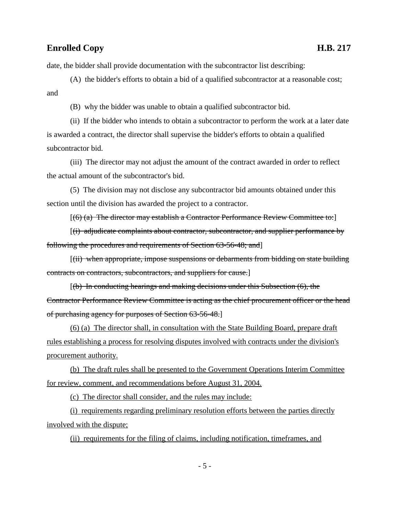date, the bidder shall provide documentation with the subcontractor list describing:

(A) the bidder's efforts to obtain a bid of a qualified subcontractor at a reasonable cost; and

(B) why the bidder was unable to obtain a qualified subcontractor bid.

(ii) If the bidder who intends to obtain a subcontractor to perform the work at a later date is awarded a contract, the director shall supervise the bidder's efforts to obtain a qualified subcontractor bid.

(iii) The director may not adjust the amount of the contract awarded in order to reflect the actual amount of the subcontractor's bid.

(5) The division may not disclose any subcontractor bid amounts obtained under this section until the division has awarded the project to a contractor.

 $[(6)$  (a) The director may establish a Contractor Performance Review Committee to:

 $[(i)$  adjudicate complaints about contractor, subcontractor, and supplier performance by following the procedures and requirements of Section 63-56-48; and]

[(ii) when appropriate, impose suspensions or debarments from bidding on state building contracts on contractors, subcontractors, and suppliers for cause.]

 $[(b)$  In conducting hearings and making decisions under this Subsection  $(6)$ , the Contractor Performance Review Committee is acting as the chief procurement officer or the head of purchasing agency for purposes of Section 63-56-48.]

(6) (a) The director shall, in consultation with the State Building Board, prepare draft rules establishing a process for resolving disputes involved with contracts under the division's procurement authority.

(b) The draft rules shall be presented to the Government Operations Interim Committee for review, comment, and recommendations before August 31, 2004.

(c) The director shall consider, and the rules may include:

(i) requirements regarding preliminary resolution efforts between the parties directly involved with the dispute;

(ii) requirements for the filing of claims, including notification, timeframes, and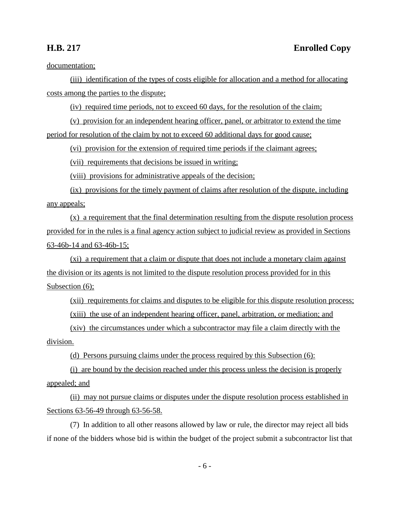documentation;

(iii) identification of the types of costs eligible for allocation and a method for allocating costs among the parties to the dispute;

(iv) required time periods, not to exceed 60 days, for the resolution of the claim;

(v) provision for an independent hearing officer, panel, or arbitrator to extend the time period for resolution of the claim by not to exceed 60 additional days for good cause;

(vi) provision for the extension of required time periods if the claimant agrees;

(vii) requirements that decisions be issued in writing;

(viii) provisions for administrative appeals of the decision;

(ix) provisions for the timely payment of claims after resolution of the dispute, including any appeals;

(x) a requirement that the final determination resulting from the dispute resolution process provided for in the rules is a final agency action subject to judicial review as provided in Sections 63-46b-14 and 63-46b-15;

(xi) a requirement that a claim or dispute that does not include a monetary claim against the division or its agents is not limited to the dispute resolution process provided for in this Subsection  $(6)$ ;

(xii) requirements for claims and disputes to be eligible for this dispute resolution process; (xiii) the use of an independent hearing officer, panel, arbitration, or mediation; and

(xiv) the circumstances under which a subcontractor may file a claim directly with the division.

(d) Persons pursuing claims under the process required by this Subsection (6):

(i) are bound by the decision reached under this process unless the decision is properly appealed; and

(ii) may not pursue claims or disputes under the dispute resolution process established in Sections 63-56-49 through 63-56-58.

(7) In addition to all other reasons allowed by law or rule, the director may reject all bids if none of the bidders whose bid is within the budget of the project submit a subcontractor list that